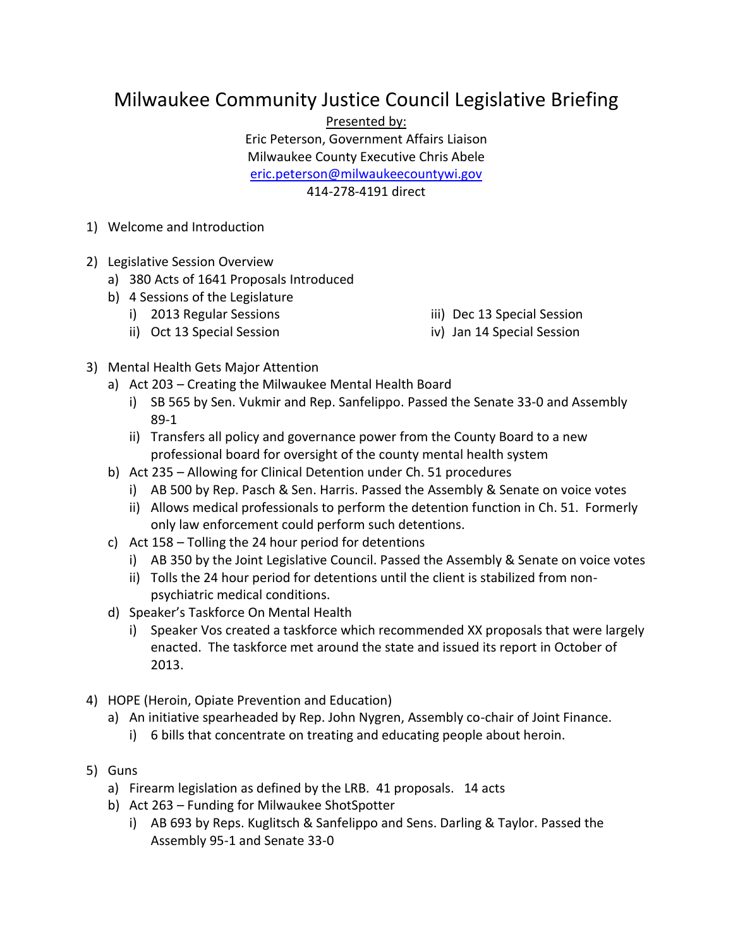## Milwaukee Community Justice Council Legislative Briefing

Presented by:

Eric Peterson, Government Affairs Liaison

Milwaukee County Executive Chris Abele

[eric.peterson@milwaukeecountywi.gov](mailto:eric.peterson@milwaukeecountywi.gov)

414-278-4191 direct

- 1) Welcome and Introduction
- 2) Legislative Session Overview
	- a) 380 Acts of 1641 Proposals Introduced
	- b) 4 Sessions of the Legislature
		- i) 2013 Regular Sessions
		- ii) Oct 13 Special Session
- iii) Dec 13 Special Session
- iv) Jan 14 Special Session

- 3) Mental Health Gets Major Attention
	- a) Act 203 Creating the Milwaukee Mental Health Board
		- i) SB 565 by Sen. Vukmir and Rep. Sanfelippo. Passed the Senate 33-0 and Assembly 89-1
		- ii) Transfers all policy and governance power from the County Board to a new professional board for oversight of the county mental health system
	- b) Act 235 Allowing for Clinical Detention under Ch. 51 procedures
		- i) AB 500 by Rep. Pasch & Sen. Harris. Passed the Assembly & Senate on voice votes
		- ii) Allows medical professionals to perform the detention function in Ch. 51. Formerly only law enforcement could perform such detentions.
	- c) Act 158 Tolling the 24 hour period for detentions
		- i) AB 350 by the Joint Legislative Council. Passed the Assembly & Senate on voice votes
		- ii) Tolls the 24 hour period for detentions until the client is stabilized from nonpsychiatric medical conditions.
	- d) Speaker's Taskforce On Mental Health
		- i) Speaker Vos created a taskforce which recommended XX proposals that were largely enacted. The taskforce met around the state and issued its report in October of 2013.
- 4) HOPE (Heroin, Opiate Prevention and Education)
	- a) An initiative spearheaded by Rep. John Nygren, Assembly co-chair of Joint Finance.
		- i) 6 bills that concentrate on treating and educating people about heroin.
- 5) Guns
	- a) Firearm legislation as defined by the LRB. 41 proposals. 14 acts
	- b) Act 263 Funding for Milwaukee ShotSpotter
		- i) AB 693 by Reps. Kuglitsch & Sanfelippo and Sens. Darling & Taylor. Passed the Assembly 95-1 and Senate 33-0